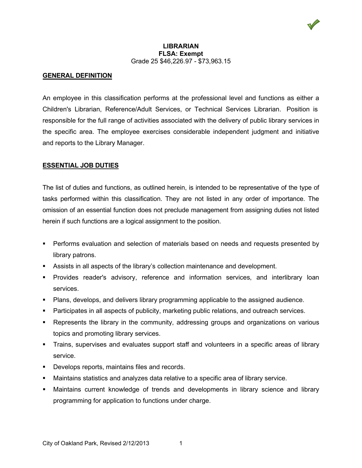

#### **LIBRARIAN FLSA: Exempt**  Grade 25 \$46,226.97 - \$73,963.15

# **GENERAL DEFINITION**

An employee in this classification performs at the professional level and functions as either a Children's Librarian, Reference/Adult Services, or Technical Services Librarian. Position is responsible for the full range of activities associated with the delivery of public library services in the specific area. The employee exercises considerable independent judgment and initiative and reports to the Library Manager.

### **ESSENTIAL JOB DUTIES**

The list of duties and functions, as outlined herein, is intended to be representative of the type of tasks performed within this classification. They are not listed in any order of importance. The omission of an essential function does not preclude management from assigning duties not listed herein if such functions are a logical assignment to the position.

- **Performs evaluation and selection of materials based on needs and requests presented by** library patrons.
- **Assists in all aspects of the library's collection maintenance and development.**
- Provides reader's advisory, reference and information services, and interlibrary loan services.
- Plans, develops, and delivers library programming applicable to the assigned audience.
- **Participates in all aspects of publicity, marketing public relations, and outreach services.**
- Represents the library in the community, addressing groups and organizations on various topics and promoting library services.
- Trains, supervises and evaluates support staff and volunteers in a specific areas of library service.
- **Develops reports, maintains files and records.**
- Maintains statistics and analyzes data relative to a specific area of library service.
- Maintains current knowledge of trends and developments in library science and library programming for application to functions under charge.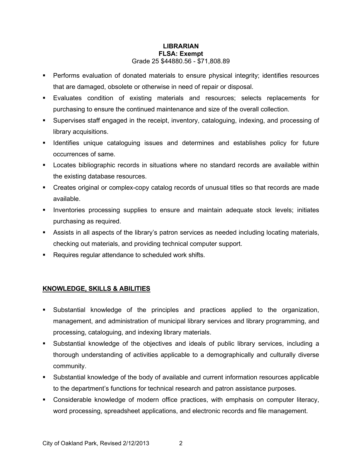- Performs evaluation of donated materials to ensure physical integrity; identifies resources that are damaged, obsolete or otherwise in need of repair or disposal.
- Evaluates condition of existing materials and resources; selects replacements for purchasing to ensure the continued maintenance and size of the overall collection.
- Supervises staff engaged in the receipt, inventory, cataloguing, indexing, and processing of library acquisitions.
- **If Identifies unique cataloguing issues and determines and establishes policy for future** occurrences of same.
- Locates bibliographic records in situations where no standard records are available within the existing database resources.
- Creates original or complex-copy catalog records of unusual titles so that records are made available.
- **Inventories processing supplies to ensure and maintain adequate stock levels; initiates** purchasing as required.
- Assists in all aspects of the library's patron services as needed including locating materials, checking out materials, and providing technical computer support.
- Requires regular attendance to scheduled work shifts.

# **KNOWLEDGE, SKILLS & ABILITIES**

- Substantial knowledge of the principles and practices applied to the organization, management, and administration of municipal library services and library programming, and processing, cataloguing, and indexing library materials.
- Substantial knowledge of the objectives and ideals of public library services, including a thorough understanding of activities applicable to a demographically and culturally diverse community.
- Substantial knowledge of the body of available and current information resources applicable to the department's functions for technical research and patron assistance purposes.
- Considerable knowledge of modern office practices, with emphasis on computer literacy, word processing, spreadsheet applications, and electronic records and file management.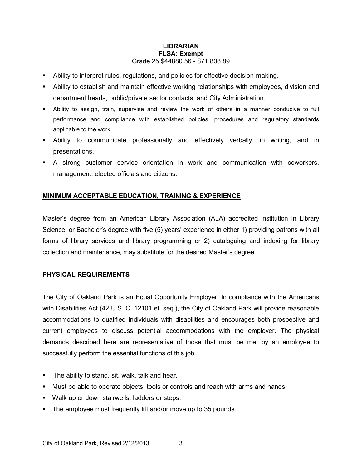- Ability to interpret rules, regulations, and policies for effective decision-making.
- Ability to establish and maintain effective working relationships with employees, division and department heads, public/private sector contacts, and City Administration.
- Ability to assign, train, supervise and review the work of others in a manner conducive to full performance and compliance with established policies, procedures and regulatory standards applicable to the work.
- Ability to communicate professionally and effectively verbally, in writing, and in presentations.
- A strong customer service orientation in work and communication with coworkers, management, elected officials and citizens.

# **MINIMUM ACCEPTABLE EDUCATION, TRAINING & EXPERIENCE**

Master's degree from an American Library Association (ALA) accredited institution in Library Science; or Bachelor's degree with five (5) years' experience in either 1) providing patrons with all forms of library services and library programming or 2) cataloguing and indexing for library collection and maintenance, may substitute for the desired Master's degree.

# **PHYSICAL REQUIREMENTS**

The City of Oakland Park is an Equal Opportunity Employer. In compliance with the Americans with Disabilities Act (42 U.S. C. 12101 et. seq.), the City of Oakland Park will provide reasonable accommodations to qualified individuals with disabilities and encourages both prospective and current employees to discuss potential accommodations with the employer. The physical demands described here are representative of those that must be met by an employee to successfully perform the essential functions of this job.

- **The ability to stand, sit, walk, talk and hear.**
- **Must be able to operate objects, tools or controls and reach with arms and hands.**
- **Walk up or down stairwells, ladders or steps.**
- The employee must frequently lift and/or move up to 35 pounds.